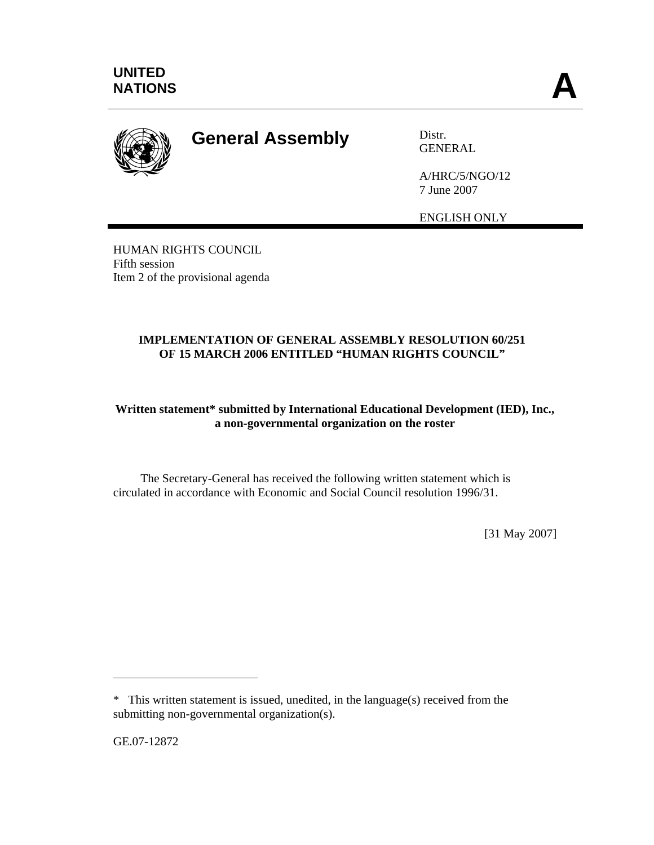

## **General Assembly** Distr.

GENERAL

A/HRC/5/NGO/12 7 June 2007

ENGLISH ONLY

HUMAN RIGHTS COUNCIL Fifth session Item 2 of the provisional agenda

## **IMPLEMENTATION OF GENERAL ASSEMBLY RESOLUTION 60/251 OF 15 MARCH 2006 ENTITLED "HUMAN RIGHTS COUNCIL"**

## **Written statement\* submitted by International Educational Development (IED), Inc., a non-governmental organization on the roster**

 The Secretary-General has received the following written statement which is circulated in accordance with Economic and Social Council resolution 1996/31.

[31 May 2007]

GE.07-12872

 $\overline{a}$ 

<sup>\*</sup> This written statement is issued, unedited, in the language(s) received from the submitting non-governmental organization(s).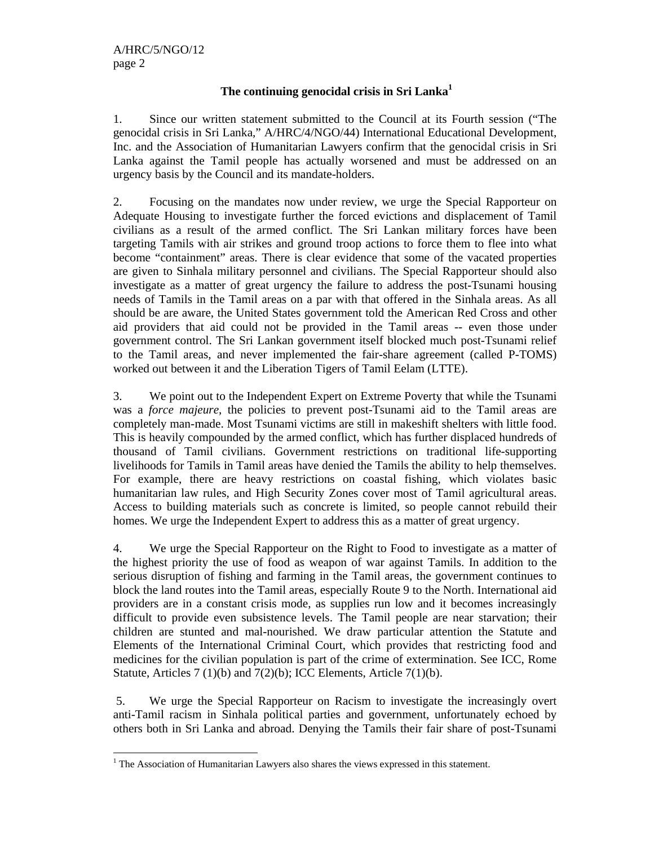$\overline{a}$ 

## **The continuing genocidal crisis in Sri Lanka<sup>1</sup>**

1. Since our written statement submitted to the Council at its Fourth session ("The genocidal crisis in Sri Lanka," A/HRC/4/NGO/44) International Educational Development, Inc. and the Association of Humanitarian Lawyers confirm that the genocidal crisis in Sri Lanka against the Tamil people has actually worsened and must be addressed on an urgency basis by the Council and its mandate-holders.

2. Focusing on the mandates now under review, we urge the Special Rapporteur on Adequate Housing to investigate further the forced evictions and displacement of Tamil civilians as a result of the armed conflict. The Sri Lankan military forces have been targeting Tamils with air strikes and ground troop actions to force them to flee into what become "containment" areas. There is clear evidence that some of the vacated properties are given to Sinhala military personnel and civilians. The Special Rapporteur should also investigate as a matter of great urgency the failure to address the post-Tsunami housing needs of Tamils in the Tamil areas on a par with that offered in the Sinhala areas. As all should be are aware, the United States government told the American Red Cross and other aid providers that aid could not be provided in the Tamil areas -- even those under government control. The Sri Lankan government itself blocked much post-Tsunami relief to the Tamil areas, and never implemented the fair-share agreement (called P-TOMS) worked out between it and the Liberation Tigers of Tamil Eelam (LTTE).

3. We point out to the Independent Expert on Extreme Poverty that while the Tsunami was a *force majeure*, the policies to prevent post-Tsunami aid to the Tamil areas are completely man-made. Most Tsunami victims are still in makeshift shelters with little food. This is heavily compounded by the armed conflict, which has further displaced hundreds of thousand of Tamil civilians. Government restrictions on traditional life-supporting livelihoods for Tamils in Tamil areas have denied the Tamils the ability to help themselves. For example, there are heavy restrictions on coastal fishing, which violates basic humanitarian law rules, and High Security Zones cover most of Tamil agricultural areas. Access to building materials such as concrete is limited, so people cannot rebuild their homes. We urge the Independent Expert to address this as a matter of great urgency.

4. We urge the Special Rapporteur on the Right to Food to investigate as a matter of the highest priority the use of food as weapon of war against Tamils. In addition to the serious disruption of fishing and farming in the Tamil areas, the government continues to block the land routes into the Tamil areas, especially Route 9 to the North. International aid providers are in a constant crisis mode, as supplies run low and it becomes increasingly difficult to provide even subsistence levels. The Tamil people are near starvation; their children are stunted and mal-nourished. We draw particular attention the Statute and Elements of the International Criminal Court, which provides that restricting food and medicines for the civilian population is part of the crime of extermination. See ICC, Rome Statute, Articles 7 (1)(b) and 7(2)(b); ICC Elements, Article 7(1)(b).

 5. We urge the Special Rapporteur on Racism to investigate the increasingly overt anti-Tamil racism in Sinhala political parties and government, unfortunately echoed by others both in Sri Lanka and abroad. Denying the Tamils their fair share of post-Tsunami

 $<sup>1</sup>$  The Association of Humanitarian Lawyers also shares the views expressed in this statement.</sup>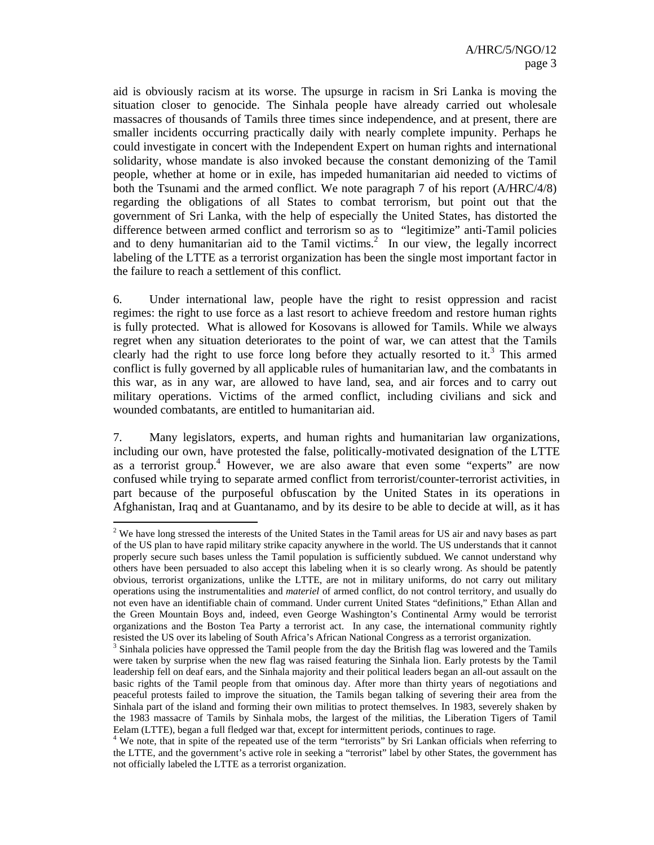aid is obviously racism at its worse. The upsurge in racism in Sri Lanka is moving the situation closer to genocide. The Sinhala people have already carried out wholesale massacres of thousands of Tamils three times since independence, and at present, there are smaller incidents occurring practically daily with nearly complete impunity. Perhaps he could investigate in concert with the Independent Expert on human rights and international solidarity, whose mandate is also invoked because the constant demonizing of the Tamil people, whether at home or in exile, has impeded humanitarian aid needed to victims of both the Tsunami and the armed conflict. We note paragraph 7 of his report (A/HRC/4/8) regarding the obligations of all States to combat terrorism, but point out that the government of Sri Lanka, with the help of especially the United States, has distorted the difference between armed conflict and terrorism so as to "legitimize" anti-Tamil policies and to deny humanitarian aid to the Tamil victims.<sup>2</sup> In our view, the legally incorrect labeling of the LTTE as a terrorist organization has been the single most important factor in the failure to reach a settlement of this conflict.

6. Under international law, people have the right to resist oppression and racist regimes: the right to use force as a last resort to achieve freedom and restore human rights is fully protected. What is allowed for Kosovans is allowed for Tamils. While we always regret when any situation deteriorates to the point of war, we can attest that the Tamils clearly had the right to use force long before they actually resorted to it.<sup>3</sup> This armed conflict is fully governed by all applicable rules of humanitarian law, and the combatants in this war, as in any war, are allowed to have land, sea, and air forces and to carry out military operations. Victims of the armed conflict, including civilians and sick and wounded combatants, are entitled to humanitarian aid.

7. Many legislators, experts, and human rights and humanitarian law organizations, including our own, have protested the false, politically-motivated designation of the LTTE as a terrorist group.<sup>4</sup> However, we are also aware that even some "experts" are now confused while trying to separate armed conflict from terrorist/counter-terrorist activities, in part because of the purposeful obfuscation by the United States in its operations in Afghanistan, Iraq and at Guantanamo, and by its desire to be able to decide at will, as it has

 $2$  We have long stressed the interests of the United States in the Tamil areas for US air and navy bases as part of the US plan to have rapid military strike capacity anywhere in the world. The US understands that it cannot properly secure such bases unless the Tamil population is sufficiently subdued. We cannot understand why others have been persuaded to also accept this labeling when it is so clearly wrong. As should be patently obvious, terrorist organizations, unlike the LTTE, are not in military uniforms, do not carry out military operations using the instrumentalities and *materiel* of armed conflict, do not control territory, and usually do not even have an identifiable chain of command. Under current United States "definitions," Ethan Allan and the Green Mountain Boys and, indeed, even George Washington's Continental Army would be terrorist organizations and the Boston Tea Party a terrorist act. In any case, the international community rightly resisted the US over its labeling of South Africa's African National Congress as a terrorist organization.

<sup>&</sup>lt;sup>3</sup> Sinhala policies have oppressed the Tamil people from the day the British flag was lowered and the Tamils were taken by surprise when the new flag was raised featuring the Sinhala lion. Early protests by the Tamil leadership fell on deaf ears, and the Sinhala majority and their political leaders began an all-out assault on the basic rights of the Tamil people from that ominous day. After more than thirty years of negotiations and peaceful protests failed to improve the situation, the Tamils began talking of severing their area from the Sinhala part of the island and forming their own militias to protect themselves. In 1983, severely shaken by the 1983 massacre of Tamils by Sinhala mobs, the largest of the militias, the Liberation Tigers of Tamil Eelam (LTTE), began a full fledged war that, except for intermittent periods, continues to rage.<br><sup>4</sup> We note, that in spite of the repeated use of the term "terrorists" by Sri Lankan officials when referring to

the LTTE, and the government's active role in seeking a "terrorist" label by other States, the government has not officially labeled the LTTE as a terrorist organization.